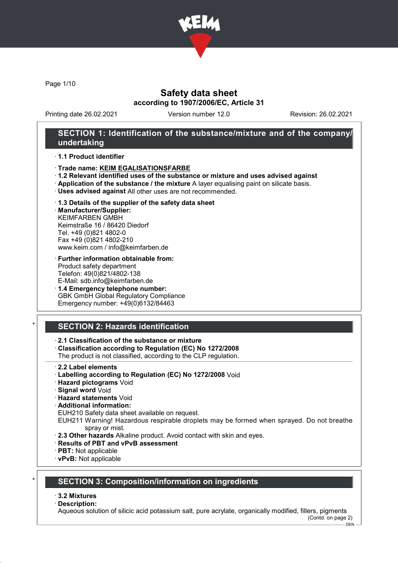

Page 1/10

# Safety data sheet according to 1907/2006/EC, Article 31

Printing date 26.02.2021 Version number 12.0 Revision: 26.02.2021

## SECTION 1: Identification of the substance/mixture and of the company/ undertaking

## · 1.1 Product identifier

- · Trade name: KEIM EGALISATIONSFARBE
- · 1.2 Relevant identified uses of the substance or mixture and uses advised against
- · Application of the substance / the mixture A layer equalising paint on silicate basis.
- · Uses advised against All other uses are not recommended.

## · 1.3 Details of the supplier of the safety data sheet

· Manufacturer/Supplier: KEIMFARBEN GMBH Keimstraße 16 / 86420 Diedorf Tel. +49 (0)821 4802-0 Fax +49 (0)821 4802-210 www.keim.com / info@keimfarben.de

- · Further information obtainable from: Product safety department Telefon: 49(0)821/4802-138 E-Mail: sdb.info@keimfarben.de
- · 1.4 Emergency telephone number: GBK GmbH Global Regulatory Compliance Emergency number: +49(0)6132/84463

# **SECTION 2: Hazards identification**

## · 2.1 Classification of the substance or mixture

· Classification according to Regulation (EC) No 1272/2008

The product is not classified, according to the CLP regulation.

- 2.2 Label elements
- · Labelling according to Regulation (EC) No 1272/2008 Void
- · Hazard pictograms Void
- · Signal word Void
- · Hazard statements Void
- · Additional information:

EUH210 Safety data sheet available on request.

- EUH211 Warning! Hazardous respirable droplets may be formed when sprayed. Do not breathe spray or mist.
- · 2.3 Other hazards Alkaline product. Avoid contact with skin and eyes.
- · Results of PBT and vPvB assessment
- · PBT: Not applicable
- · vPvB: Not applicable

# **SECTION 3: Composition/information on ingredients**

## · 3.2 Mixtures

## · Description:

Aqueous solution of silicic acid potassium salt, pure acrylate, organically modified, fillers, pigments (Contd. on page 2)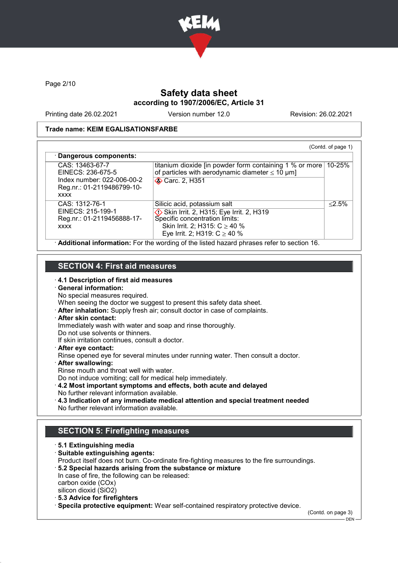

Page 2/10

# Safety data sheet according to 1907/2006/EC, Article 31

Printing date 26.02.2021 Version number 12.0 Revision: 26.02.2021

## Trade name: KEIM EGALISATIONSFARBE

| CAS: 13463-67-7                                                         | titanium dioxide [in powder form containing 1 % or more ]  | 10-25%    |
|-------------------------------------------------------------------------|------------------------------------------------------------|-----------|
| EINECS: 236-675-5                                                       | of particles with aerodynamic diameter $\leq 10 \ \mu m$ ] |           |
| Index number: 022-006-00-2<br>Reg.nr.: 01-2119486799-10-<br><b>XXXX</b> | <b>◆ Carc. 2, H351</b>                                     |           |
| CAS: 1312-76-1                                                          | Silicic acid, potassium salt                               | $< 2.5\%$ |
| EINECS: 215-199-1                                                       | Skin Irrit. 2, H315; Eye Irrit. 2, H319                    |           |
| Reg.nr.: 01-2119456888-17-                                              | Specific concentration limits:                             |           |
| <b>XXXX</b>                                                             | Skin Irrit. 2; H315: $C \ge 40$ %                          |           |
|                                                                         | Eye Irrit. 2; H319: $C \ge 40$ %                           |           |

## SECTION 4: First aid measures

· 4.1 Description of first aid measures

# · General information:

No special measures required.

When seeing the doctor we suggest to present this safety data sheet.

· After inhalation: Supply fresh air; consult doctor in case of complaints.

## · After skin contact:

Immediately wash with water and soap and rinse thoroughly.

Do not use solvents or thinners.

If skin irritation continues, consult a doctor.

· After eye contact:

Rinse opened eye for several minutes under running water. Then consult a doctor.

- · After swallowing:
- Rinse mouth and throat well with water.

Do not induce vomiting; call for medical help immediately.

- · 4.2 Most important symptoms and effects, both acute and delayed No further relevant information available.
- · 4.3 Indication of any immediate medical attention and special treatment needed No further relevant information available.

# SECTION 5: Firefighting measures

· 5.1 Extinguishing media · Suitable extinguishing agents: Product itself does not burn. Co-ordinate fire-fighting measures to the fire surroundings. · 5.2 Special hazards arising from the substance or mixture In case of fire, the following can be released: carbon oxide (COx) silicon dioxid (SiO2) · 5.3 Advice for firefighters

· Specila protective equipment: Wear self-contained respiratory protective device.

(Contd. on page 3)

 $-$  DEN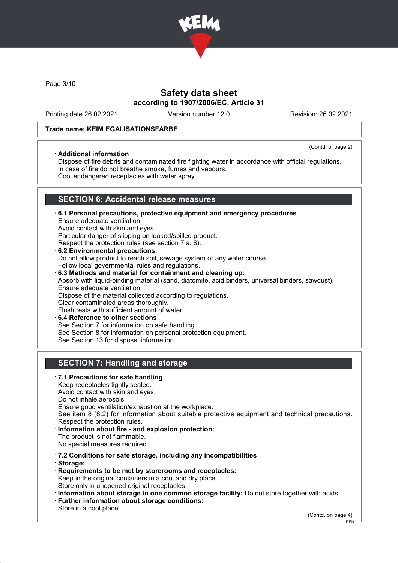

Page 3/10

# Safety data sheet according to 1907/2006/EC, Article 31

Printing date 26.02.2021 Version number 12.0 Revision: 26.02.2021

## Trade name: KEIM EGALISATIONSFARBE

#### · Additional information

(Contd. of page 2)

Dispose of fire debris and contaminated fire fighting water in accordance with official regulations. In case of fire do not breathe smoke, fumes and vapours. Cool endangered receptacles with water spray.

# SECTION 6: Accidental release measures

- · 6.1 Personal precautions, protective equipment and emergency procedures Ensure adequate ventilation Avoid contact with skin and eyes. Particular danger of slipping on leaked/spilled product. Respect the protection rules (see section 7 a. 8). · 6.2 Environmental precautions: Do not allow product to reach soil, sewage system or any water course. Follow local governmental rules and regulations. · 6.3 Methods and material for containment and cleaning up: Absorb with liquid-binding material (sand, diatomite, acid binders, universal binders, sawdust). Ensure adequate ventilation. Dispose of the material collected according to regulations. Clear contaminated areas thoroughly. Flush rests with sufficient amount of water.
- 6.4 Reference to other sections See Section 7 for information on safe handling. See Section 8 for information on personal protection equipment. See Section 13 for disposal information.

# SECTION 7: Handling and storage

## · 7.1 Precautions for safe handling

Keep receptacles tightly sealed.

Avoid contact with skin and eyes. Do not inhale aerosols.

Ensure good ventilation/exhaustion at the workplace.

See item 8 (8.2) for information about suitable protective equipment and technical precautions. Respect the protection rules.

Information about fire - and explosion protection: The product is not flammable. No special measures required.

· 7.2 Conditions for safe storage, including any incompatibilities

· Storage:

- · Requirements to be met by storerooms and receptacles: Keep in the original containers in a cool and dry place. Store only in unopened original receptacles.
- · Information about storage in one common storage facility: Do not store together with acids.
- · Further information about storage conditions:
- Store in a cool place.

(Contd. on page 4)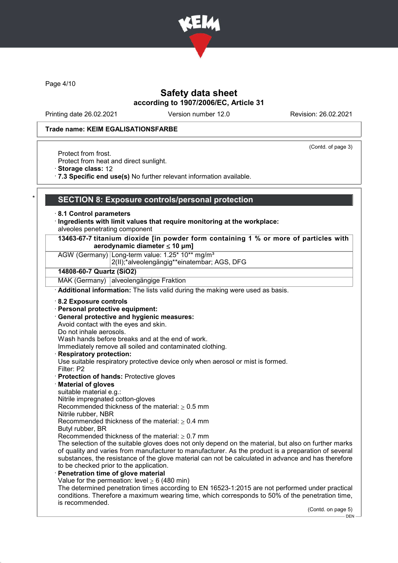

Page 4/10

# Safety data sheet according to 1907/2006/EC, Article 31

Printing date 26.02.2021 Version number 12.0 Revision: 26.02.2021

#### Trade name: KEIM EGALISATIONSFARBE

(Contd. of page 3)

Protect from frost.

Protect from heat and direct sunlight.

· Storage class: 12

· 7.3 Specific end use(s) No further relevant information available.

## SECTION 8: Exposure controls/personal protection

#### · 8.1 Control parameters

- · Ingredients with limit values that require monitoring at the workplace: alveoles penetrating component
- 13463-67-7 titanium dioxide [in powder form containing 1 % or more of particles with aerodynamic diameter ≤ 10 μm]

AGW (Germany) Long-term value: 1.25\* 10\*\* mg/m<sup>3</sup>

2(II);\*alveolengängig\*\*einatembar; AGS, DFG

#### 14808-60-7 Quartz (SiO2)

MAK (Germany) alveolengängige Fraktion

· Additional information: The lists valid during the making were used as basis.

#### · 8.2 Exposure controls

#### · Personal protective equipment:

- · General protective and hygienic measures:
- Avoid contact with the eyes and skin.
- Do not inhale aerosols.

Wash hands before breaks and at the end of work.

Immediately remove all soiled and contaminated clothing.

#### **Respiratory protection:**

Use suitable respiratory protective device only when aerosol or mist is formed.

- Filter: P2 · Protection of hands: Protective gloves
- · Material of gloves
- suitable material e.g.:

Nitrile impregnated cotton-gloves Recommended thickness of the material:  $\geq 0.5$  mm

Nitrile rubber, NBR

Recommended thickness of the material:  $> 0.4$  mm

- Butyl rubber, BR
- Recommended thickness of the material:  $> 0.7$  mm

The selection of the suitable gloves does not only depend on the material, but also on further marks of quality and varies from manufacturer to manufacturer. As the product is a preparation of several substances, the resistance of the glove material can not be calculated in advance and has therefore to be checked prior to the application.

Penetration time of glove material

Value for the permeation: level  $> 6$  (480 min)

The determined penetration times according to EN 16523-1:2015 are not performed under practical conditions. Therefore a maximum wearing time, which corresponds to 50% of the penetration time, is recommended.

(Contd. on page 5)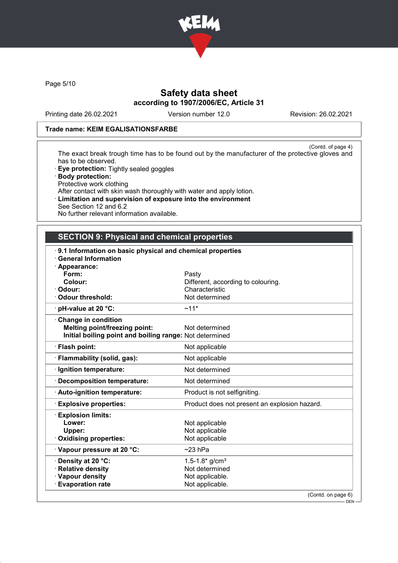

Page 5/10

# Safety data sheet according to 1907/2006/EC, Article 31

Printing date 26.02.2021 Version number 12.0 Revision: 26.02.2021

## Trade name: KEIM EGALISATIONSFARBE

(Contd. of page 4) The exact break trough time has to be found out by the manufacturer of the protective gloves and has to be observed.

- · Eye protection: Tightly sealed goggles
- · Body protection: Protective work clothing After contact with skin wash thoroughly with water and apply lotion.
- · Limitation and supervision of exposure into the environment See Section 12 and 6.2 No further relevant information available.
- 

# SECTION 9: Physical and chemical properties

| 9.1 Information on basic physical and chemical properties |                                               |
|-----------------------------------------------------------|-----------------------------------------------|
| <b>General Information</b>                                |                                               |
| · Appearance:<br>Form:                                    | Pasty                                         |
| Colour:                                                   | Different, according to colouring.            |
| · Odour:                                                  | Characteristic                                |
| Odour threshold:                                          | Not determined                                |
| $\cdot$ pH-value at 20 $\degree$ C:                       | $~11*$                                        |
| Change in condition                                       |                                               |
| <b>Melting point/freezing point:</b>                      | Not determined                                |
| Initial boiling point and boiling range: Not determined   |                                               |
| · Flash point:                                            | Not applicable                                |
| · Flammability (solid, gas):                              | Not applicable                                |
| · Ignition temperature:                                   | Not determined                                |
| · Decomposition temperature:                              | Not determined                                |
| · Auto-ignition temperature:                              | Product is not selfigniting.                  |
| <b>Explosive properties:</b>                              | Product does not present an explosion hazard. |
| <b>Explosion limits:</b>                                  |                                               |
| Lower:                                                    | Not applicable                                |
| Upper:                                                    | Not applicable                                |
| Oxidising properties:                                     | Not applicable                                |
| Vapour pressure at 20 °C:                                 | $~23$ hPa                                     |
| · Density at 20 °C:                                       | 1.5-1.8* $g/cm3$                              |
| <b>Relative density</b>                                   | Not determined                                |
| · Vapour density                                          | Not applicable.                               |
| <b>Evaporation rate</b>                                   | Not applicable.                               |
|                                                           | (Contd. on page 6)                            |
|                                                           | DEN -                                         |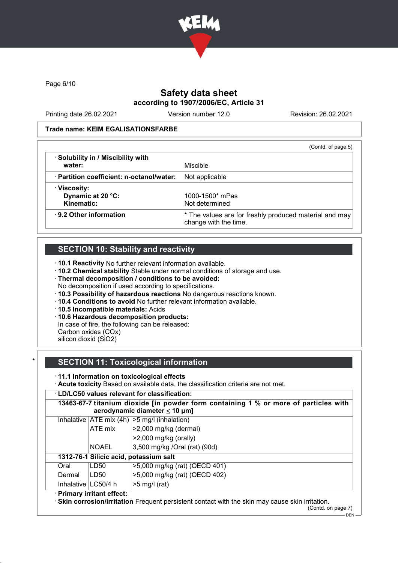

Page 6/10

# Safety data sheet according to 1907/2006/EC, Article 31

Printing date 26.02.2021 Version number 12.0 Revision: 26.02.2021

## Trade name: KEIM EGALISATIONSFARBE

|                                           | (Contd. of page 5)                                                              |
|-------------------------------------------|---------------------------------------------------------------------------------|
| · Solubility in / Miscibility with        | Miscible                                                                        |
| water:                                    |                                                                                 |
| · Partition coefficient: n-octanol/water: | Not applicable                                                                  |
| $\cdot$ Viscosity:                        |                                                                                 |
| Dynamic at 20 °C:                         | $1000 - 1500*$ mPas                                                             |
| Kinematic:                                | Not determined                                                                  |
| $\cdot$ 9.2 Other information             | * The values are for freshly produced material and may<br>change with the time. |

# **SECTION 10: Stability and reactivity**

· 10.1 Reactivity No further relevant information available.

- · 10.2 Chemical stability Stable under normal conditions of storage and use.
- · Thermal decomposition / conditions to be avoided:
- No decomposition if used according to specifications.
- · 10.3 Possibility of hazardous reactions No dangerous reactions known.
- · 10.4 Conditions to avoid No further relevant information available.
- · 10.5 Incompatible materials: Acids
- · 10.6 Hazardous decomposition products:
- In case of fire, the following can be released:
- Carbon oxides (COx) silicon dioxid (SiO2)

# **SECTION 11: Toxicological information**

## · 11.1 Information on toxicological effects

· Acute toxicity Based on available data, the classification criteria are not met.

## · LD/LC50 values relevant for classification:

|                        |                            | 13463-67-7 titanium dioxide [in powder form containing 1 % or more of particles with<br>aerodynamic diameter $\leq 10$ µm] |
|------------------------|----------------------------|----------------------------------------------------------------------------------------------------------------------------|
|                        |                            | Inhalative $ ATE \text{ mix } (4h)  > 5 \text{ mg/l } (inhalation)$                                                        |
|                        | ATE mix                    | >2,000 mg/kg (dermal)                                                                                                      |
|                        |                            | $>2,000$ mg/kg (orally)                                                                                                    |
|                        | <b>NOAEL</b>               | 3,500 mg/kg /Oral (rat) (90d)                                                                                              |
|                        |                            | 1312-76-1 Silicic acid, potassium salt                                                                                     |
| Oral                   | LD50                       | >5,000 mg/kg (rat) (OECD 401)                                                                                              |
| Dermal                 | LD50                       | >5,000 mg/kg (rat) (OECD 402)                                                                                              |
| Inhalative $ LC50/4$ h |                            | $>5$ mg/l (rat)                                                                                                            |
|                        | · Primary irritant effect: | <b>Skin corrosion/irritation</b> Frequent persistent contact with the skin may cause skin irritation.                      |

(Contd. on page 7)

<sup>.&</sup>lt;br>— DEN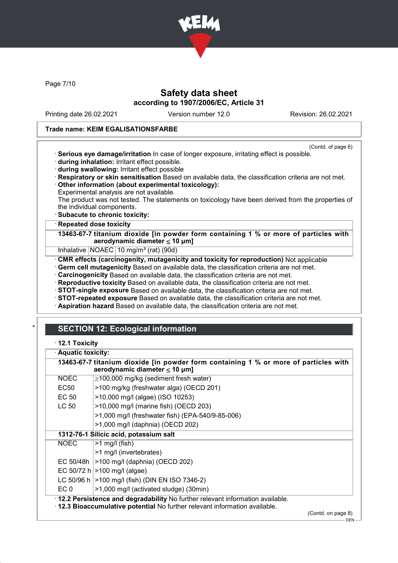

Page 7/10

# Safety data sheet according to 1907/2006/EC, Article 31

Printing date 26.02.2021 Version number 12.0 Revision: 26.02.2021

## Trade name: KEIM EGALISATIONSFARBE

- (Contd. of page 6) · Serious eye damage/irritation In case of longer exposure, irritating effect is possible.
- · during inhalation: Irritant effect possible.
- · during swallowing: Irritant effect possible
- · Respiratory or skin sensitisation Based on available data, the classification criteria are not met.
- · Other information (about experimental toxicology):
- Experimental analysis are not available.

The product was not tested. The statements on toxicology have been derived from the properties of the individual components.

· Subacute to chronic toxicity:

## **Repeated dose toxicity**

13463-67-7 titanium dioxide [in powder form containing 1 % or more of particles with aerodynamic diameter ≤ 10 μm]

Inhalative | NOAEC | 10 mg/m<sup>3</sup> (rat) (90d)

· CMR effects (carcinogenity, mutagenicity and toxicity for reproduction) Not applicable

· Germ cell mutagenicity Based on available data, the classification criteria are not met.

· Carcinogenicity Based on available data, the classification criteria are not met.

- · Reproductive toxicity Based on available data, the classification criteria are not met.
- · STOT-single exposure Based on available data, the classification criteria are not met.
- · STOT-repeated exposure Based on available data, the classification criteria are not met.
- · Aspiration hazard Based on available data, the classification criteria are not met.

# **SECTION 12: Ecological information**

· 12.1 Toxicity

| · Aquatic toxicity: | 13463-67-7 titanium dioxide [in powder form containing 1 % or more of particles with |
|---------------------|--------------------------------------------------------------------------------------|
| <b>NOEC</b>         | aerodynamic diameter $\leq 10$ µm]<br>$\geq$ 100,000 mg/kg (sediment fresh water)    |
| EC50                | >100 mg/kg (freshwater alga) (OECD 201)                                              |
| EC 50               | >10,000 mg/l (algae) (ISO 10253)                                                     |
| LC 50               | >10,000 mg/l (marine fish) (OECD 203)                                                |
|                     | >1,000 mg/l (freshwater fish) (EPA-540/9-85-006)                                     |
|                     | >1,000 mg/l (daphnia) (OECD 202)                                                     |
|                     | 1312-76-1 Silicic acid, potassium salt                                               |
| <b>NOEC</b>         | $>1$ mg/l (fish)                                                                     |
|                     | >1 mg/l (invertebrates)                                                              |
|                     | EC 50/48h   > 100 mg/l (daphnia) (OECD 202)                                          |
|                     | EC 50/72 h   > 100 mg/l (algae)                                                      |
|                     | LC 50/96 h   > 100 mg/l (fish) (DIN EN ISO 7346-2)                                   |
| EC <sub>0</sub>     | >1,000 mg/l (activated sludge) (30min)                                               |
|                     | . 12.2 Persistence and degradability No further relevant information available.      |
|                     | . 12.3 Bioaccumulative potential No further relevant information available.          |
|                     | (Contd. on page 8)                                                                   |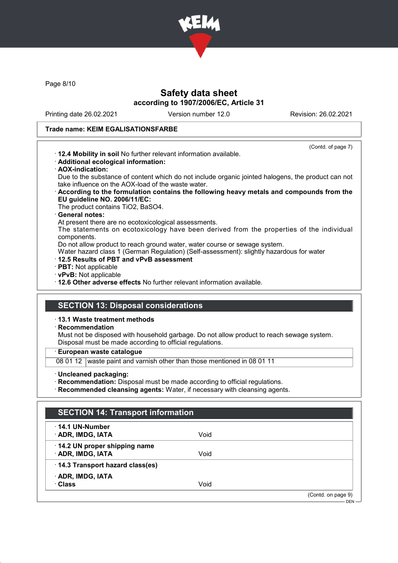

Page 8/10

# Safety data sheet according to 1907/2006/EC, Article 31

Printing date 26.02.2021 Version number 12.0 Revision: 26.02.2021

(Contd. of page 7)

## Trade name: KEIM EGALISATIONSFARBE

- · 12.4 Mobility in soil No further relevant information available.
- · Additional ecological information:
- · AOX-indication:

Due to the substance of content which do not include organic jointed halogens, the product can not take influence on the AOX-load of the waste water.

- · According to the formulation contains the following heavy metals and compounds from the EU guideline NO. 2006/11/EC:
	- The product contains TiO2, BaSO4.

## General notes:

At present there are no ecotoxicological assessments.

The statements on ecotoxicology have been derived from the properties of the individual components.

Do not allow product to reach ground water, water course or sewage system.

Water hazard class 1 (German Regulation) (Self-assessment): slightly hazardous for water

- · 12.5 Results of PBT and vPvB assessment
- · PBT: Not applicable
- · vPvB: Not applicable
- · 12.6 Other adverse effects No further relevant information available.

# SECTION 13: Disposal considerations

## · 13.1 Waste treatment methods

· Recommendation

Must not be disposed with household garbage. Do not allow product to reach sewage system. Disposal must be made according to official regulations.

## · European waste catalogue

08 01 12 waste paint and varnish other than those mentioned in 08 01 11

· Uncleaned packaging:

· Recommendation: Disposal must be made according to official regulations.

· Recommended cleansing agents: Water, if necessary with cleansing agents.

| <b>SECTION 14: Transport information</b>          |      |                    |
|---------------------------------------------------|------|--------------------|
| $\cdot$ 14.1 UN-Number<br>· ADR, IMDG, IATA       | Void |                    |
| 14.2 UN proper shipping name<br>· ADR, IMDG, IATA | Void |                    |
| · 14.3 Transport hazard class(es)                 |      |                    |
| · ADR, IMDG, IATA<br>· Class                      | Void |                    |
|                                                   |      | (Contd. on page 9) |
|                                                   |      | DEN $-$            |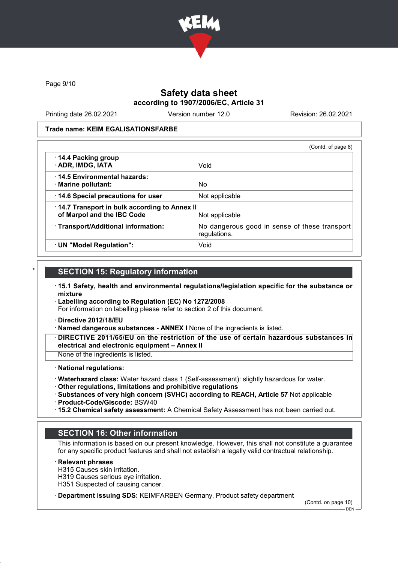

Page 9/10

## Safety data sheet according to 1907/2006/EC, Article 31

Printing date 26.02.2021 Version number 12.0 Revision: 26.02.2021

#### Trade name: KEIM EGALISATIONSFARBE

|                                                                            | (Contd. of page 8)                                            |
|----------------------------------------------------------------------------|---------------------------------------------------------------|
| 14.4 Packing group<br>· ADR, IMDG, IATA                                    | Void                                                          |
| 14.5 Environmental hazards:<br>· Marine pollutant:                         | No.                                                           |
| 14.6 Special precautions for user                                          | Not applicable                                                |
| 14.7 Transport in bulk according to Annex II<br>of Marpol and the IBC Code | Not applicable                                                |
| · Transport/Additional information:                                        | No dangerous good in sense of these transport<br>regulations. |
| · UN "Model Regulation":                                                   | Void                                                          |

# **SECTION 15: Regulatory information**

- · 15.1 Safety, health and environmental regulations/legislation specific for the substance or mixture
- · Labelling according to Regulation (EC) No 1272/2008

For information on labelling please refer to section 2 of this document.

- · Directive 2012/18/EU
- · Named dangerous substances ANNEX I None of the ingredients is listed.
- · DIRECTIVE 2011/65/EU on the restriction of the use of certain hazardous substances in electrical and electronic equipment – Annex II
- None of the ingredients is listed.

#### · National regulations:

- · Waterhazard class: Water hazard class 1 (Self-assessment): slightly hazardous for water.
- · Other regulations, limitations and prohibitive regulations
- · Substances of very high concern (SVHC) according to REACH, Article 57 Not applicable · Product-Code/Giscode: BSW40
- · 15.2 Chemical safety assessment: A Chemical Safety Assessment has not been carried out.

## SECTION 16: Other information

This information is based on our present knowledge. However, this shall not constitute a guarantee for any specific product features and shall not establish a legally valid contractual relationship.

**Relevant phrases** 

- H315 Causes skin irritation.
- H319 Causes serious eye irritation.
- H351 Suspected of causing cancer.
- · Department issuing SDS: KEIMFARBEN Germany, Product safety department

(Contd. on page 10)

DEN